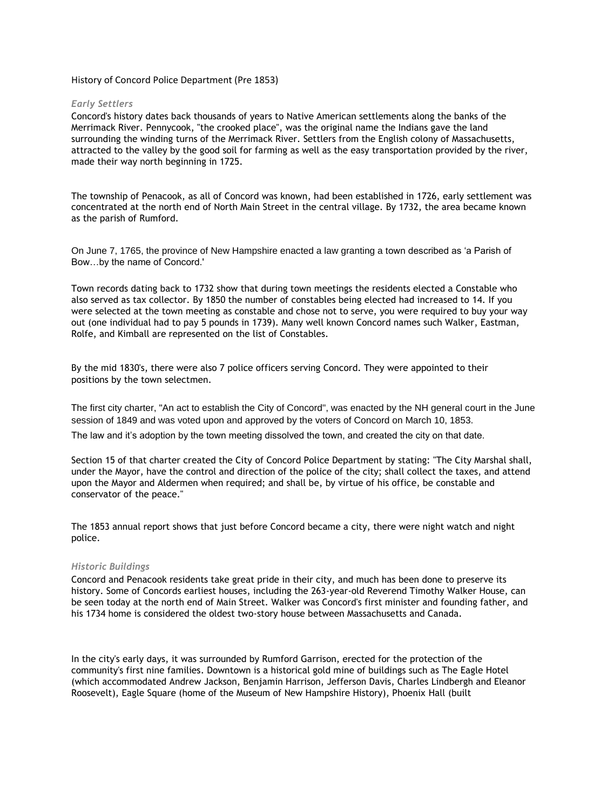### History of Concord Police Department (Pre 1853)

#### *Early Settlers*

Concord's history dates back thousands of years to Native American settlements along the banks of the Merrimack River. Pennycook, "the crooked place", was the original name the Indians gave the land surrounding the winding turns of the Merrimack River. Settlers from the English colony of Massachusetts, attracted to the valley by the good soil for farming as well as the easy transportation provided by the river, made their way north beginning in 1725.

The township of Penacook, as all of Concord was known, had been established in 1726, early settlement was concentrated at the north end of North Main Street in the central village. By 1732, the area became known as the parish of Rumford.

On June 7, 1765, the province of New Hampshire enacted a law granting a town described as 'a Parish of Bow…by the name of Concord.'

Town records dating back to 1732 show that during town meetings the residents elected a Constable who also served as tax collector. By 1850 the number of constables being elected had increased to 14. If you were selected at the town meeting as constable and chose not to serve, you were required to buy your way out (one individual had to pay 5 pounds in 1739). Many well known Concord names such Walker, Eastman, Rolfe, and Kimball are represented on the list of Constables.

By the mid 1830's, there were also 7 police officers serving Concord. They were appointed to their positions by the town selectmen.

The first city charter, "An act to establish the City of Concord", was enacted by the NH general court in the June session of 1849 and was voted upon and approved by the voters of Concord on March 10, 1853.

The law and it's adoption by the town meeting dissolved the town, and created the city on that date.

Section 15 of that charter created the City of Concord Police Department by stating: "The City Marshal shall, under the Mayor, have the control and direction of the police of the city; shall collect the taxes, and attend upon the Mayor and Aldermen when required; and shall be, by virtue of his office, be constable and conservator of the peace."

The 1853 annual report shows that just before Concord became a city, there were night watch and night police.

#### *Historic Buildings*

Concord and Penacook residents take great pride in their city, and much has been done to preserve its history. Some of Concords earliest houses, including the 263-year-old Reverend Timothy Walker House, can be seen today at the north end of Main Street. Walker was Concord's first minister and founding father, and his 1734 home is considered the oldest two-story house between Massachusetts and Canada.

In the city's early days, it was surrounded by Rumford Garrison, erected for the protection of the community's first nine families. Downtown is a historical gold mine of buildings such as The Eagle Hotel (which accommodated Andrew Jackson, Benjamin Harrison, Jefferson Davis, Charles Lindbergh and Eleanor Roosevelt), Eagle Square (home of the Museum of New Hampshire History), Phoenix Hall (built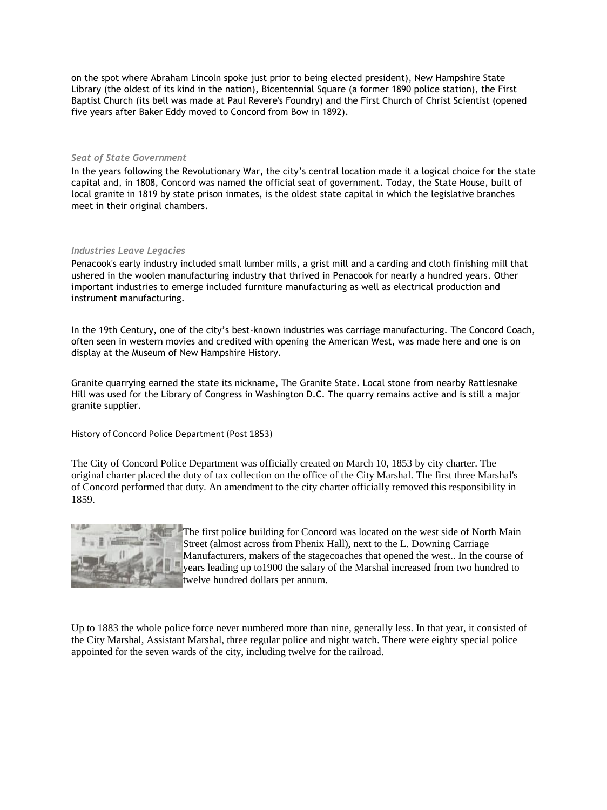on the spot where Abraham Lincoln spoke just prior to being elected president), New Hampshire State Library (the oldest of its kind in the nation), Bicentennial Square (a former 1890 police station), the First Baptist Church (its bell was made at Paul Revere's Foundry) and the First Church of Christ Scientist (opened five years after Baker Eddy moved to Concord from Bow in 1892).

#### *Seat of State Government*

In the years following the Revolutionary War, the city's central location made it a logical choice for the state capital and, in 1808, Concord was named the official seat of government. Today, the State House, built of local granite in 1819 by state prison inmates, is the oldest state capital in which the legislative branches meet in their original chambers.

### *Industries Leave Legacies*

Penacook's early industry included small lumber mills, a grist mill and a carding and cloth finishing mill that ushered in the woolen manufacturing industry that thrived in Penacook for nearly a hundred years. Other important industries to emerge included furniture manufacturing as well as electrical production and instrument manufacturing.

In the 19th Century, one of the city's best-known industries was carriage manufacturing. The Concord Coach, often seen in western movies and credited with opening the American West, was made here and one is on display at the Museum of New Hampshire History.

Granite quarrying earned the state its nickname, The Granite State. Local stone from nearby Rattlesnake Hill was used for the Library of Congress in Washington D.C. The quarry remains active and is still a major granite supplier.

History of Concord Police Department (Post 1853)

The City of Concord Police Department was officially created on March 10, 1853 by city charter. The original charter placed the duty of tax collection on the office of the City Marshal. The first three Marshal's of Concord performed that duty. An amendment to the city charter officially removed this responsibility in 1859.



The first police building for Concord was located on the west side of North Main Street (almost across from Phenix Hall), next to the L. Downing Carriage Manufacturers, makers of the stagecoaches that opened the west.. In the course of years leading up to1900 the salary of the Marshal increased from two hundred to twelve hundred dollars per annum.

Up to 1883 the whole police force never numbered more than nine, generally less. In that year, it consisted of the City Marshal, Assistant Marshal, three regular police and night watch. There were eighty special police appointed for the seven wards of the city, including twelve for the railroad.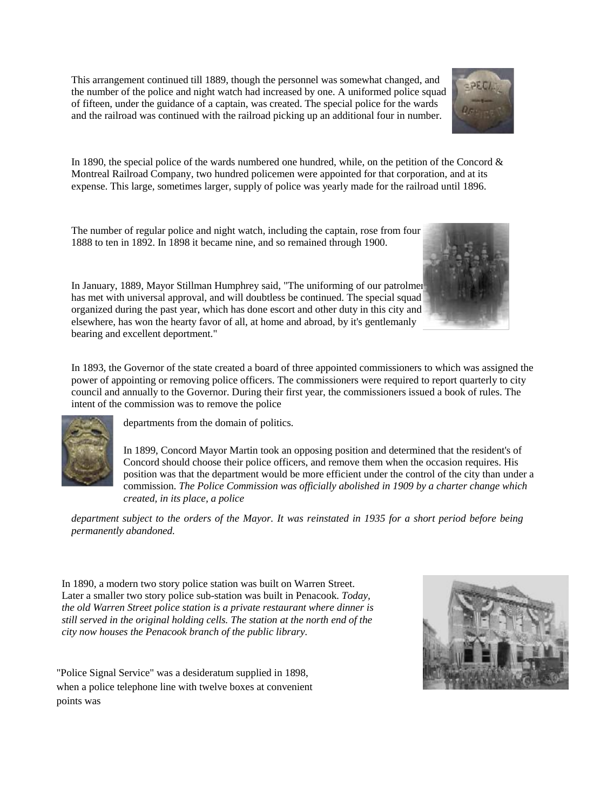This arrangement continued till 1889, though the personnel was somewhat changed, and the number of the police and night watch had increased by one. A uniformed police squad of fifteen, under the guidance of a captain, was created. The special police for the wards and the railroad was continued with the railroad picking up an additional four in number.



In 1890, the special police of the wards numbered one hundred, while, on the petition of the Concord  $\&$ Montreal Railroad Company, two hundred policemen were appointed for that corporation, and at its expense. This large, sometimes larger, supply of police was yearly made for the railroad until 1896.

The number of regular police and night watch, including the captain, rose from four 1888 to ten in 1892. In 1898 it became nine, and so remained through 1900.

In January, 1889, Mayor Stillman Humphrey said, "The uniforming of our patrolmen has met with universal approval, and will doubtless be continued. The special squad organized during the past year, which has done escort and other duty in this city and elsewhere, has won the hearty favor of all, at home and abroad, by it's gentlemanly bearing and excellent deportment."

In 1893, the Governor of the state created a board of three appointed commissioners to which was assigned the power of appointing or removing police officers. The commissioners were required to report quarterly to city council and annually to the Governor. During their first year, the commissioners issued a book of rules. The intent of the commission was to remove the police



departments from the domain of politics.

In 1899, Concord Mayor Martin took an opposing position and determined that the resident's of Concord should choose their police officers, and remove them when the occasion requires. His position was that the department would be more efficient under the control of the city than under a commission. *The Police Commission was officially abolished in 1909 by a charter change which created, in its place, a police* 

*department subject to the orders of the Mayor. It was reinstated in 1935 for a short period before being permanently abandoned.* 

In 1890, a modern two story police station was built on Warren Street. Later a smaller two story police sub-station was built in Penacook. *Today, the old Warren Street police station is a private restaurant where dinner is still served in the original holding cells. The station at the north end of the city now houses the Penacook branch of the public library.* 

"Police Signal Service" was a desideratum supplied in 1898, when a police telephone line with twelve boxes at convenient points was



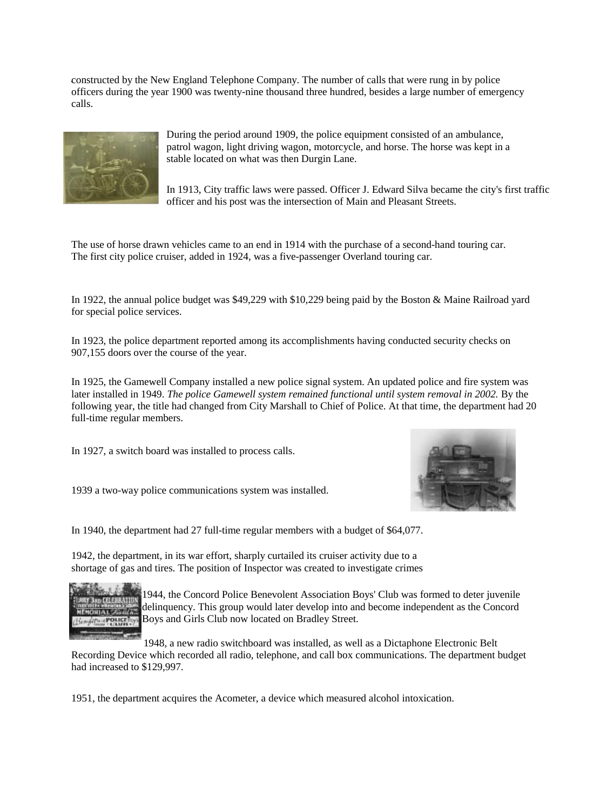constructed by the New England Telephone Company. The number of calls that were rung in by police . officers during the year 1900 was twenty-nine thousand three hundred, besides a large number of emergency calls.



During the period around 1909, the police equipment consisted of an ambulance, patrol wagon, light driving wagon, motorcycle, and horse. The horse was kept in a stable located on what was then Durgin Lane.

In 1913, City traffic laws were passed. Officer J. Edward Silva became the city's first traffic officer and his post was the intersection of Main and Pleasant Streets.

The use of horse drawn vehicles came to an end in 1914 with the purchase of a second-hand touring car. The first city police cruiser, added in 1924, was a five-passenger Overland touring car.

In 1922, the annual police budget was \$49,229 with \$10,229 being paid by the Boston & Maine Railroad yard for special police services.

In 1923, the police department reported among its accomplishments having conducted security checks on 907,155 doors over the course of the year.

In 1925, the Gamewell Company installed a new police signal system. An updated police and fire system was later installed in 1949. *The police Gamewell system remained functional until system removal in 2002*. By the following year, the title had changed from City Marshall to Chief of Police. At that time, the department had 20 full-time regular members.

In 1927, a switch board was installed to process calls.

1939 a two-way police communications system was installed.



In 1940, the department had 27 full-time regular members with a budget of \$64,077.

1942, the department, in its war effort, sharply curtailed its cruiser activity due to a shortage of gas and tires. The position of Inspector was created to investigate crimes



1944, the Concord Police Benevolent Association Boys' Club was formed to deter juvenile delinquency. This group would later develop into and become independent as the Concord Boys and Girls Club now located on Bradley Street.

1948, a new radio switchboard was installed, as well as a Dictaphone Electronic Belt Recording Device which recorded all radio, telephone, and call box communications. The department budget had increased to \$129,997.

1951, the department acquires the Acometer, a device which measured alcohol intoxication.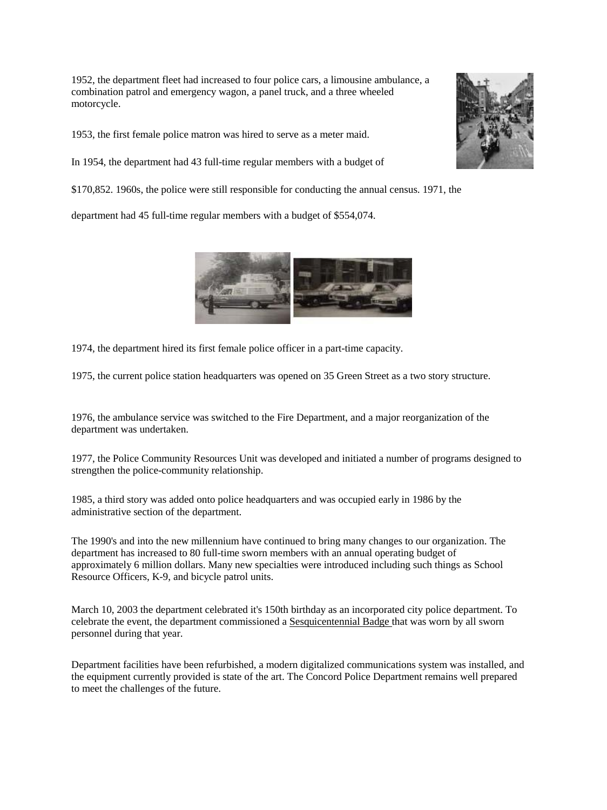1952, the department fleet had increased to four police cars, a limousine ambulance, a combination patrol and emergency wagon, a panel truck, and a three wheeled motorcycle.

1953, the first female police matron was hired to serve as a meter maid.

In 1954, the department had 43 full-time regular members with a budget of

\$170,852. 1960s, the police were still responsible for conducting the annual census. 1971, the

department had 45 full-time regular members with a budget of \$554,074.



1974, the department hired its first female police officer in a part-time capacity.

1975, the current police station headquarters was opened on 35 Green Street as a two story structure.

1976, the ambulance service was switched to the Fire Department, and a major reorganization of the department was undertaken.

1977, the Police Community Resources Unit was developed and initiated a number of programs designed to strengthen the police-community relationship.

1985, a third story was added onto police headquarters and was occupied early in 1986 by the administrative section of the department.

The 1990's and into the new millennium have continued to bring many changes to our organization. The department has increased to 80 full-time sworn members with an annual operating budget of approximately 6 million dollars. Many new specialties were introduced including such things as School Resource Officers, K-9, and bicycle patrol units.

March 10, 2003 the department celebrated it's 150th birthday as an incorporated city police department. To celebrate the event, the department commissioned a [Sesquicentennial Badge t](http://www.concordnh.gov/Police/sesquicentennial.asp)hat was worn by all sworn personnel during that year.

Department facilities have been refurbished, a modern digitalized communications system was installed, and the equipment currently provided is state of the art. The Concord Police Department remains well prepared to meet the challenges of the future.

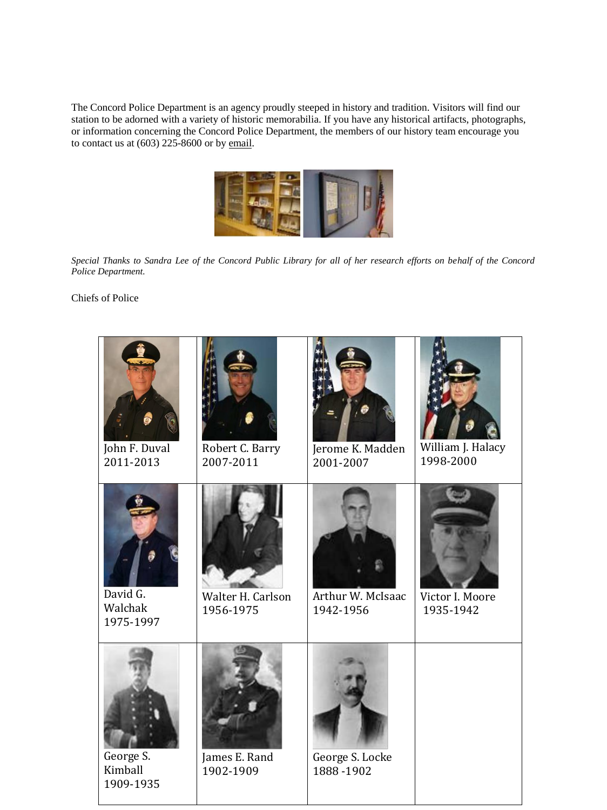The Concord Police Department is an agency proudly steeped in history and tradition. Visitors will find our station to be adorned with a variety of historic memorabilia. If you have any historical artifacts, photographs, or information concerning the Concord Police Department, the members of our history team encourage you to contact us at  $(603)$  225-8600 or b[y email.](mailto:police@concordpolice.com)



*Special Thanks to Sandra Lee of the Concord Public Library for all of her research efforts on behalf of the Concord Police Department.* 

Chiefs of Police

| John F. Duval<br>2011-2013        | Robert C. Barry<br>2007-2011   | Jerome K. Madden<br>2001-2007  | William J. Halacy<br>1998-2000 |
|-----------------------------------|--------------------------------|--------------------------------|--------------------------------|
| David G.<br>Walchak<br>1975-1997  | Walter H. Carlson<br>1956-1975 | Arthur W. McIsaac<br>1942-1956 | Victor I. Moore<br>1935-1942   |
| George S.<br>Kimball<br>1909-1935 | James E. Rand<br>1902-1909     | George S. Locke<br>1888-1902   |                                |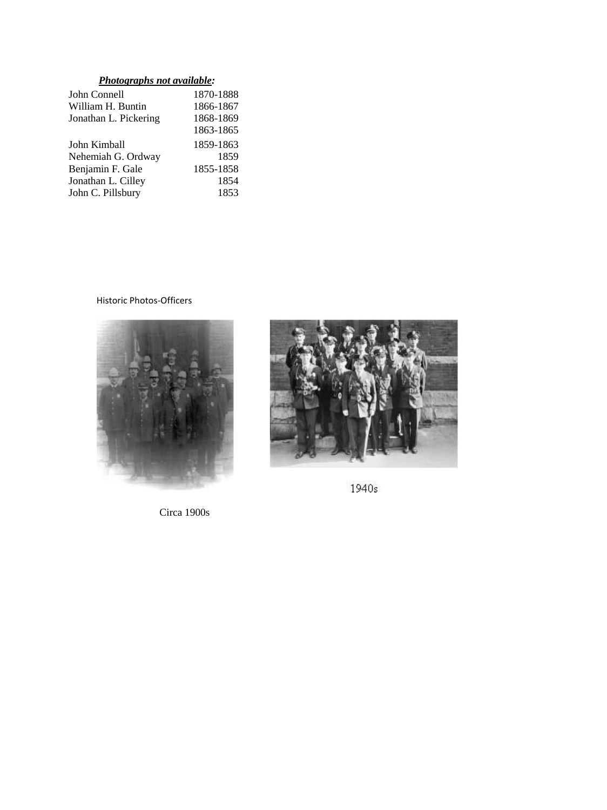# *Photographs not available:*

| John Connell          | 1870-1888 |
|-----------------------|-----------|
| William H. Buntin     | 1866-1867 |
| Jonathan L. Pickering | 1868-1869 |
|                       | 1863-1865 |
| John Kimball          | 1859-1863 |
| Nehemiah G. Ordway    | 1859      |
| Benjamin F. Gale      | 1855-1858 |
| Jonathan L. Cilley    | 1854      |
| John C. Pillsbury     | 1853      |
|                       |           |

## Historic Photos-Officers



Circa 1900s



1940s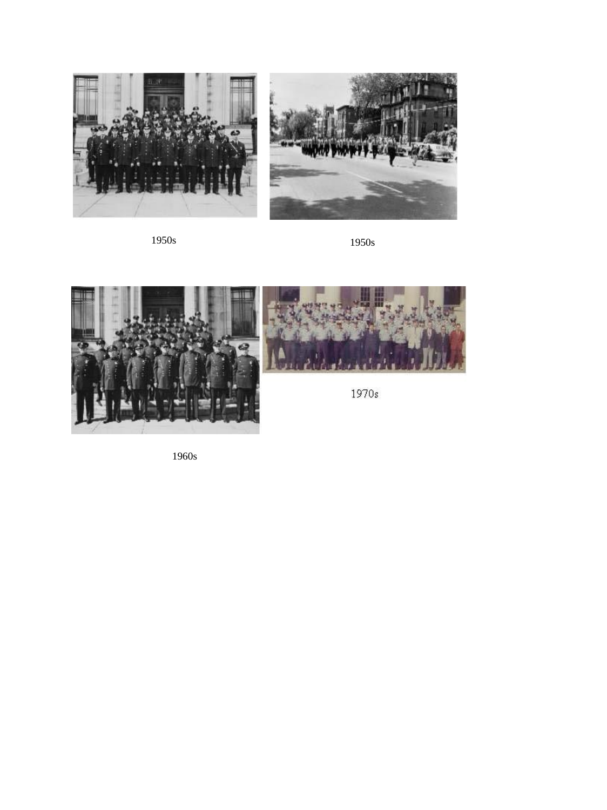

1950s 1950s





1970s

1960s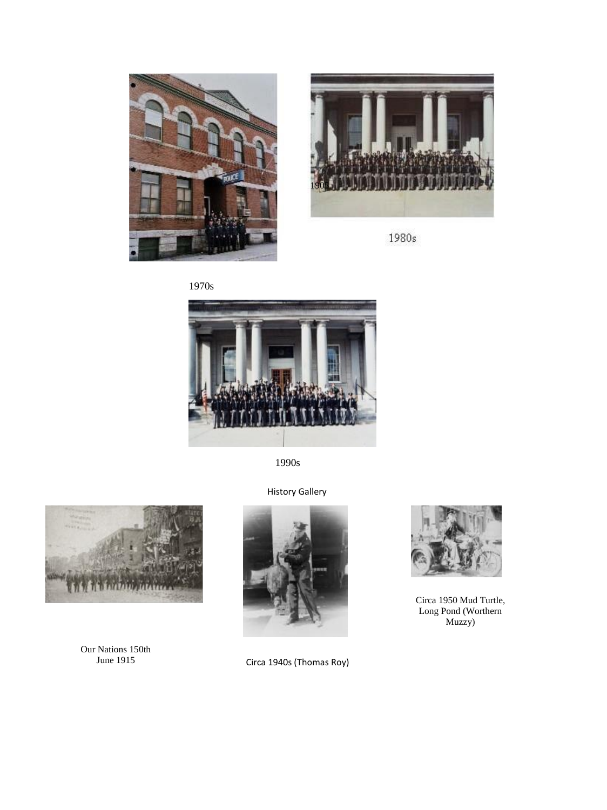



1980s



1990s



Our Nations 150th June 1915







Circa 1950 Mud Turtle, Long Pond (Worthern Muzzy)

Circa 1940s (Thomas Roy)